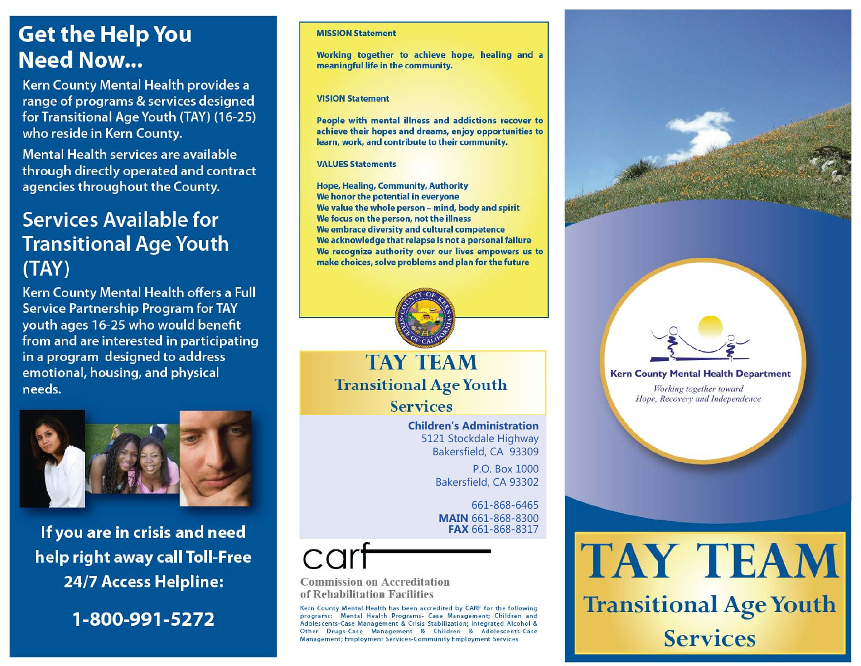# **Get the Help You Need Now...**

Kern County Mental Health provides a range of programs & services designed for Transitional Age Youth (TAY) (16-25) who reside in Kern County.

Mental Health services are available through directly operated and contract agencies throughout the County.

# **Services Available for Transitional Age Youth**  $(TAY)$

Kern County Mental Health offers a Full **Service Partnership Program for TAY** youth ages 16-25 who would benefit from and are interested in participating in a program designed to address emotional, housing, and physical needs.



If you are in crisis and need help right away call Toll-Free **24/7 Access Helpline:** 

1-800-991-5272

### **MISSION Statement**

Working together to achieve hope, healing and a meaningful life in the community.

### **VISION Statement**

People with mental illness and addictions recover to achieve their hopes and dreams, enjoy opportunities to learn, work, and contribute to their community.

**VALUES Statements** 

**Hope, Healing, Community, Authority** We honor the potential in everyone We value the whole person - mind, body and spirit We focus on the person, not the illness We embrace diversity and cultural competence We acknowledge that relapse is not a personal failure We recognize authority over our lives empowers us to make choices, solve problems and plan for the future



# **TAY TEAM Transitional Age Youth**

**Services** 

**Children's Administration** 5121 Stockdale Highway Bakersfield, CA 93309

> P.O. Box 1000 Bakersfield, CA 93302

661-868-6465 **MAIN 661-868-8300** FAX 661-868-8317

**Commission on Accreditation** of Rehabilitation Facilities

Kern County Mental Health has been accredited by CARF for the following programs: Mental Health Programs- Case Management: Children and Adolescents-Case Management & Crisis Stabilization; Integrated Alcohol & Other Drugs-Case Management & Children & Adolescents-Case Management; Employment Services-Community Employment Services

## **Kern County Mental Health Department**

Working together toward Hope, Recovery and Independence